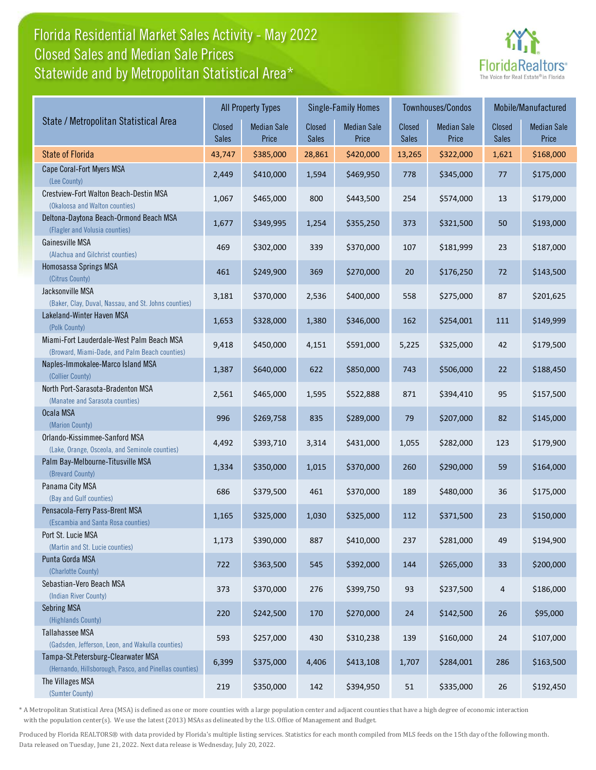# Florida Residential Market Sales Activity - May 2022 Statewide and by Metropolitan Statistical Area\* Closed Sales and Median Sale Prices



|                                                                                              |                        | <b>All Property Types</b>   |                        | <b>Single-Family Homes</b>  |                        | <b>Townhouses/Condos</b>    | Mobile/Manufactured |                             |
|----------------------------------------------------------------------------------------------|------------------------|-----------------------------|------------------------|-----------------------------|------------------------|-----------------------------|---------------------|-----------------------------|
| State / Metropolitan Statistical Area                                                        | Closed<br><b>Sales</b> | <b>Median Sale</b><br>Price | Closed<br><b>Sales</b> | <b>Median Sale</b><br>Price | Closed<br><b>Sales</b> | <b>Median Sale</b><br>Price | Closed<br>Sales     | <b>Median Sale</b><br>Price |
| <b>State of Florida</b>                                                                      | 43,747                 | \$385,000                   | 28,861                 | \$420,000                   | 13,265                 | \$322,000                   | 1,621               | \$168,000                   |
| Cape Coral-Fort Myers MSA<br>(Lee County)                                                    | 2,449                  | \$410,000                   | 1,594                  | \$469,950                   | 778                    | \$345,000                   | 77                  | \$175,000                   |
| Crestview-Fort Walton Beach-Destin MSA<br>(Okaloosa and Walton counties)                     | 1,067                  | \$465,000                   | 800                    | \$443,500                   | 254                    | \$574,000                   | 13                  | \$179,000                   |
| Deltona-Daytona Beach-Ormond Beach MSA<br>(Flagler and Volusia counties)                     | 1,677                  | \$349,995                   | 1,254                  | \$355,250                   | 373                    | \$321,500                   | 50                  | \$193,000                   |
| Gainesville MSA<br>(Alachua and Gilchrist counties)                                          | 469                    | \$302,000                   | 339                    | \$370,000                   | 107                    | \$181,999                   | 23                  | \$187,000                   |
| Homosassa Springs MSA<br>(Citrus County)                                                     | 461                    | \$249,900                   | 369                    | \$270,000                   | 20                     | \$176,250                   | 72                  | \$143,500                   |
| Jacksonville MSA<br>(Baker, Clay, Duval, Nassau, and St. Johns counties)                     | 3,181                  | \$370,000                   | 2,536                  | \$400,000                   | 558                    | \$275,000                   | 87                  | \$201,625                   |
| Lakeland-Winter Haven MSA<br>(Polk County)                                                   | 1,653                  | \$328,000                   | 1,380                  | \$346,000                   | 162                    | \$254,001                   | 111                 | \$149,999                   |
| Miami-Fort Lauderdale-West Palm Beach MSA<br>(Broward, Miami-Dade, and Palm Beach counties)  | 9,418                  | \$450,000                   | 4,151                  | \$591,000                   | 5,225                  | \$325,000                   | 42                  | \$179,500                   |
| Naples-Immokalee-Marco Island MSA<br>(Collier County)                                        | 1,387                  | \$640,000                   | 622                    | \$850,000                   | 743                    | \$506,000                   | 22                  | \$188,450                   |
| North Port-Sarasota-Bradenton MSA<br>(Manatee and Sarasota counties)                         | 2,561                  | \$465,000                   | 1,595                  | \$522,888                   | 871                    | \$394,410                   | 95                  | \$157,500                   |
| Ocala MSA<br>(Marion County)                                                                 | 996                    | \$269,758                   | 835                    | \$289,000                   | 79                     | \$207,000                   | 82                  | \$145,000                   |
| Orlando-Kissimmee-Sanford MSA<br>(Lake, Orange, Osceola, and Seminole counties)              | 4,492                  | \$393,710                   | 3,314                  | \$431,000                   | 1,055                  | \$282,000                   | 123                 | \$179,900                   |
| Palm Bay-Melbourne-Titusville MSA<br>(Brevard County)                                        | 1,334                  | \$350,000                   | 1,015                  | \$370,000                   | 260                    | \$290,000                   | 59                  | \$164,000                   |
| Panama City MSA<br>(Bay and Gulf counties)                                                   | 686                    | \$379,500                   | 461                    | \$370,000                   | 189                    | \$480,000                   | 36                  | \$175,000                   |
| Pensacola-Ferry Pass-Brent MSA<br>(Escambia and Santa Rosa counties)                         | 1,165                  | \$325,000                   | 1,030                  | \$325,000                   | 112                    | \$371,500                   | 23                  | \$150,000                   |
| Port St. Lucie MSA<br>(Martin and St. Lucie counties)                                        | 1,173                  | \$390,000                   | 887                    | \$410,000                   | 237                    | \$281,000                   | 49                  | \$194,900                   |
| Punta Gorda MSA<br>(Charlotte County)                                                        | 722                    | \$363,500                   | 545                    | \$392,000                   | 144                    | \$265,000                   | 33                  | \$200,000                   |
| Sebastian-Vero Beach MSA<br>(Indian River County)                                            | 373                    | \$370,000                   | 276                    | \$399,750                   | 93                     | \$237,500                   | 4                   | \$186,000                   |
| <b>Sebring MSA</b><br>(Highlands County)                                                     | 220                    | \$242,500                   | 170                    | \$270,000                   | 24                     | \$142,500                   | 26                  | \$95,000                    |
| Tallahassee MSA<br>(Gadsden, Jefferson, Leon, and Wakulla counties)                          | 593                    | \$257,000                   | 430                    | \$310,238                   | 139                    | \$160,000                   | 24                  | \$107,000                   |
| Tampa-St.Petersburg-Clearwater MSA<br>(Hernando, Hillsborough, Pasco, and Pinellas counties) | 6,399                  | \$375,000                   | 4,406                  | \$413,108                   | 1,707                  | \$284,001                   | 286                 | \$163,500                   |
| The Villages MSA<br>(Sumter County)                                                          | 219                    | \$350,000                   | 142                    | \$394,950                   | 51                     | \$335,000                   | 26                  | \$192,450                   |

\* A Metropolitan Statistical Area (MSA) is defined as one or more counties with a large population center and adjacent counties that have a high degree of economic interaction with the population center(s). We use the latest (2013) MSAs as delineated by the U.S. Office of Management and Budget.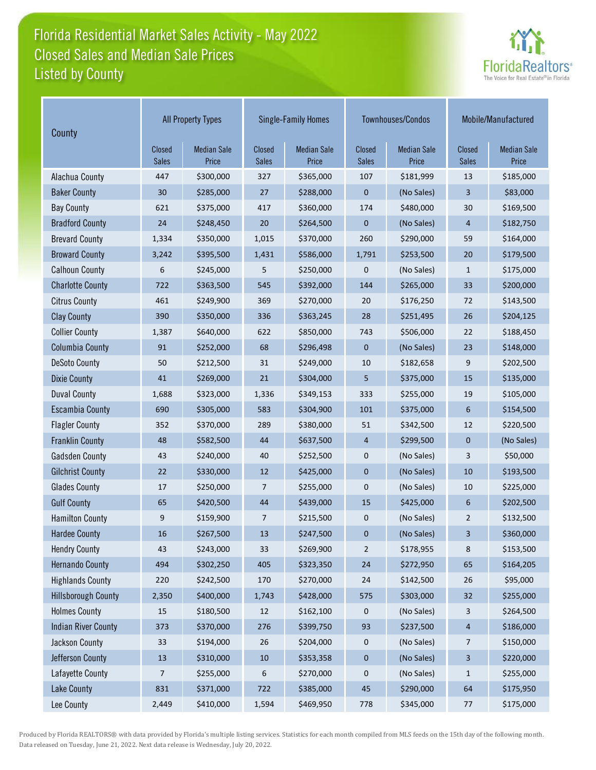# Florida Residential Market Sales Activity - May 2022 Listed by County Closed Sales and Median Sale Prices



| County                     | <b>All Property Types</b>     |                             |                               | <b>Single-Family Homes</b>  | Townhouses/Condos      |                             | Mobile/Manufactured           |                             |
|----------------------------|-------------------------------|-----------------------------|-------------------------------|-----------------------------|------------------------|-----------------------------|-------------------------------|-----------------------------|
|                            | <b>Closed</b><br><b>Sales</b> | <b>Median Sale</b><br>Price | <b>Closed</b><br><b>Sales</b> | <b>Median Sale</b><br>Price | Closed<br><b>Sales</b> | <b>Median Sale</b><br>Price | <b>Closed</b><br><b>Sales</b> | <b>Median Sale</b><br>Price |
| Alachua County             | 447                           | \$300,000                   | 327                           | \$365,000                   | 107                    | \$181,999                   | 13                            | \$185,000                   |
| <b>Baker County</b>        | 30                            | \$285,000                   | 27                            | \$288,000                   | $\mathbf 0$            | (No Sales)                  | 3                             | \$83,000                    |
| <b>Bay County</b>          | 621                           | \$375,000                   | 417                           | \$360,000                   | 174                    | \$480,000                   | 30                            | \$169,500                   |
| <b>Bradford County</b>     | 24                            | \$248,450                   | 20                            | \$264,500                   | $\mathbf 0$            | (No Sales)                  | 4                             | \$182,750                   |
| <b>Brevard County</b>      | 1,334                         | \$350,000                   | 1,015                         | \$370,000                   | 260                    | \$290,000                   | 59                            | \$164,000                   |
| <b>Broward County</b>      | 3,242                         | \$395,500                   | 1,431                         | \$586,000                   | 1,791                  | \$253,500                   | 20                            | \$179,500                   |
| <b>Calhoun County</b>      | 6                             | \$245,000                   | 5                             | \$250,000                   | $\mathbf 0$            | (No Sales)                  | 1                             | \$175,000                   |
| <b>Charlotte County</b>    | 722                           | \$363,500                   | 545                           | \$392,000                   | 144                    | \$265,000                   | 33                            | \$200,000                   |
| <b>Citrus County</b>       | 461                           | \$249,900                   | 369                           | \$270,000                   | 20                     | \$176,250                   | 72                            | \$143,500                   |
| <b>Clay County</b>         | 390                           | \$350,000                   | 336                           | \$363,245                   | 28                     | \$251,495                   | 26                            | \$204,125                   |
| <b>Collier County</b>      | 1,387                         | \$640,000                   | 622                           | \$850,000                   | 743                    | \$506,000                   | 22                            | \$188,450                   |
| <b>Columbia County</b>     | 91                            | \$252,000                   | 68                            | \$296,498                   | $\mathbf{0}$           | (No Sales)                  | 23                            | \$148,000                   |
| <b>DeSoto County</b>       | 50                            | \$212,500                   | 31                            | \$249,000                   | 10                     | \$182,658                   | 9                             | \$202,500                   |
| <b>Dixie County</b>        | 41                            | \$269,000                   | 21                            | \$304,000                   | 5                      | \$375,000                   | 15                            | \$135,000                   |
| <b>Duval County</b>        | 1,688                         | \$323,000                   | 1,336                         | \$349,153                   | 333                    | \$255,000                   | 19                            | \$105,000                   |
| <b>Escambia County</b>     | 690                           | \$305,000                   | 583                           | \$304,900                   | 101                    | \$375,000                   | 6                             | \$154,500                   |
| <b>Flagler County</b>      | 352                           | \$370,000                   | 289                           | \$380,000                   | 51                     | \$342,500                   | 12                            | \$220,500                   |
| <b>Franklin County</b>     | 48                            | \$582,500                   | 44                            | \$637,500                   | 4                      | \$299,500                   | $\mathbf 0$                   | (No Sales)                  |
| <b>Gadsden County</b>      | 43                            | \$240,000                   | 40                            | \$252,500                   | 0                      | (No Sales)                  | 3                             | \$50,000                    |
| <b>Gilchrist County</b>    | 22                            | \$330,000                   | 12                            | \$425,000                   | $\mathbf 0$            | (No Sales)                  | 10                            | \$193,500                   |
| <b>Glades County</b>       | 17                            | \$250,000                   | 7                             | \$255,000                   | $\pmb{0}$              | (No Sales)                  | 10                            | \$225,000                   |
| <b>Gulf County</b>         | 65                            | \$420,500                   | 44                            | \$439,000                   | 15                     | \$425,000                   | 6                             | \$202,500                   |
| <b>Hamilton County</b>     | 9                             | \$159,900                   | 7                             | \$215,500                   | $\pmb{0}$              | (No Sales)                  | $\overline{2}$                | \$132,500                   |
| <b>Hardee County</b>       | 16                            | \$267,500                   | 13                            | \$247,500                   | 0                      | (No Sales)                  | 3                             | \$360,000                   |
| <b>Hendry County</b>       | 43                            | \$243,000                   | 33                            | \$269,900                   | $\overline{2}$         | \$178,955                   | 8                             | \$153,500                   |
| <b>Hernando County</b>     | 494                           | \$302,250                   | 405                           | \$323,350                   | 24                     | \$272,950                   | 65                            | \$164,205                   |
| <b>Highlands County</b>    | 220                           | \$242,500                   | 170                           | \$270,000                   | 24                     | \$142,500                   | 26                            | \$95,000                    |
| <b>Hillsborough County</b> | 2,350                         | \$400,000                   | 1,743                         | \$428,000                   | 575                    | \$303,000                   | 32                            | \$255,000                   |
| <b>Holmes County</b>       | 15                            | \$180,500                   | $12\,$                        | \$162,100                   | 0                      | (No Sales)                  | 3                             | \$264,500                   |
| <b>Indian River County</b> | 373                           | \$370,000                   | 276                           | \$399,750                   | 93                     | \$237,500                   | $\overline{4}$                | \$186,000                   |
| Jackson County             | 33                            | \$194,000                   | 26                            | \$204,000                   | 0                      | (No Sales)                  | 7                             | \$150,000                   |
| Jefferson County           | 13                            | \$310,000                   | $10\,$                        | \$353,358                   | $\pmb{0}$              | (No Sales)                  | 3                             | \$220,000                   |
| Lafayette County           | 7                             | \$255,000                   | 6                             | \$270,000                   | $\pmb{0}$              | (No Sales)                  | 1                             | \$255,000                   |
| <b>Lake County</b>         | 831                           | \$371,000                   | 722                           | \$385,000                   | 45                     | \$290,000                   | 64                            | \$175,950                   |
| Lee County                 | 2,449                         | \$410,000                   | 1,594                         | \$469,950                   | 778                    | \$345,000                   | 77                            | \$175,000                   |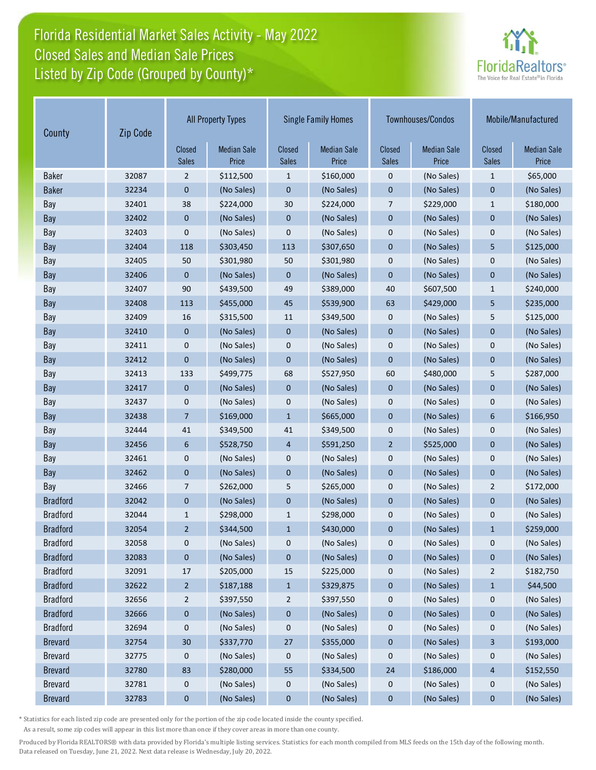## Florida Residential Market Sales Activity - May 2022 Listed by Zip Code (Grouped by County)\* Closed Sales and Median Sale Prices



| County          | Zip Code |                        | <b>All Property Types</b>   | <b>Single Family Homes</b> |                             | Townhouses/Condos      |                             | Mobile/Manufactured           |                             |
|-----------------|----------|------------------------|-----------------------------|----------------------------|-----------------------------|------------------------|-----------------------------|-------------------------------|-----------------------------|
|                 |          | Closed<br><b>Sales</b> | <b>Median Sale</b><br>Price | Closed<br><b>Sales</b>     | <b>Median Sale</b><br>Price | Closed<br><b>Sales</b> | <b>Median Sale</b><br>Price | <b>Closed</b><br><b>Sales</b> | <b>Median Sale</b><br>Price |
| <b>Baker</b>    | 32087    | $\overline{2}$         | \$112,500                   | 1                          | \$160,000                   | 0                      | (No Sales)                  | $\mathbf{1}$                  | \$65,000                    |
| <b>Baker</b>    | 32234    | 0                      | (No Sales)                  | $\mathbf 0$                | (No Sales)                  | $\mathbf 0$            | (No Sales)                  | $\mathbf 0$                   | (No Sales)                  |
| Bay             | 32401    | 38                     | \$224,000                   | 30                         | \$224,000                   | 7                      | \$229,000                   | $\mathbf{1}$                  | \$180,000                   |
| Bay             | 32402    | $\mathbf 0$            | (No Sales)                  | $\mathbf 0$                | (No Sales)                  | $\mathbf 0$            | (No Sales)                  | $\mathbf 0$                   | (No Sales)                  |
| Bay             | 32403    | $\mathbf 0$            | (No Sales)                  | $\mathbf 0$                | (No Sales)                  | 0                      | (No Sales)                  | $\mathbf 0$                   | (No Sales)                  |
| Bay             | 32404    | 118                    | \$303,450                   | 113                        | \$307,650                   | $\overline{0}$         | (No Sales)                  | 5                             | \$125,000                   |
| Bay             | 32405    | 50                     | \$301,980                   | 50                         | \$301,980                   | 0                      | (No Sales)                  | 0                             | (No Sales)                  |
| Bay             | 32406    | $\mathbf 0$            | (No Sales)                  | $\mathbf 0$                | (No Sales)                  | $\mathbf 0$            | (No Sales)                  | $\mathbf 0$                   | (No Sales)                  |
| Bay             | 32407    | 90                     | \$439,500                   | 49                         | \$389,000                   | 40                     | \$607,500                   | $\mathbf{1}$                  | \$240,000                   |
| Bay             | 32408    | 113                    | \$455,000                   | 45                         | \$539,900                   | 63                     | \$429,000                   | 5                             | \$235,000                   |
| Bay             | 32409    | 16                     | \$315,500                   | 11                         | \$349,500                   | 0                      | (No Sales)                  | 5                             | \$125,000                   |
| Bay             | 32410    | $\mathbf 0$            | (No Sales)                  | $\mathbf 0$                | (No Sales)                  | $\mathbf 0$            | (No Sales)                  | $\mathbf 0$                   | (No Sales)                  |
| Bay             | 32411    | 0                      | (No Sales)                  | 0                          | (No Sales)                  | 0                      | (No Sales)                  | 0                             | (No Sales)                  |
| Bay             | 32412    | $\mathbf 0$            | (No Sales)                  | $\mathbf 0$                | (No Sales)                  | $\mathbf 0$            | (No Sales)                  | $\mathbf 0$                   | (No Sales)                  |
| Bay             | 32413    | 133                    | \$499,775                   | 68                         | \$527,950                   | 60                     | \$480,000                   | 5                             | \$287,000                   |
| Bay             | 32417    | $\mathbf 0$            | (No Sales)                  | $\mathbf 0$                | (No Sales)                  | $\mathbf 0$            | (No Sales)                  | $\mathbf 0$                   | (No Sales)                  |
| Bay             | 32437    | 0                      | (No Sales)                  | $\mathbf 0$                | (No Sales)                  | 0                      | (No Sales)                  | $\mathbf 0$                   | (No Sales)                  |
| Bay             | 32438    | $\overline{7}$         | \$169,000                   | $\mathbf{1}$               | \$665,000                   | $\mathbf 0$            | (No Sales)                  | $6\phantom{1}$                | \$166,950                   |
| Bay             | 32444    | 41                     | \$349,500                   | 41                         | \$349,500                   | 0                      | (No Sales)                  | 0                             | (No Sales)                  |
| Bay             | 32456    | 6                      | \$528,750                   | $\overline{4}$             | \$591,250                   | $\overline{2}$         | \$525,000                   | $\mathbf{0}$                  | (No Sales)                  |
| Bay             | 32461    | 0                      | (No Sales)                  | 0                          | (No Sales)                  | 0                      | (No Sales)                  | $\mathbf 0$                   | (No Sales)                  |
| Bay             | 32462    | $\mathbf 0$            | (No Sales)                  | $\mathbf 0$                | (No Sales)                  | $\mathbf 0$            | (No Sales)                  | $\mathbf{0}$                  | (No Sales)                  |
| Bay             | 32466    | 7                      | \$262,000                   | 5                          | \$265,000                   | 0                      | (No Sales)                  | $\overline{2}$                | \$172,000                   |
| <b>Bradford</b> | 32042    | 0                      | (No Sales)                  | $\mathbf 0$                | (No Sales)                  | 0                      | (No Sales)                  | $\mathbf 0$                   | (No Sales)                  |
| <b>Bradford</b> | 32044    | $\mathbf{1}$           | \$298,000                   | $\mathbf{1}$               | \$298,000                   | 0                      | (No Sales)                  | 0                             | (No Sales)                  |
| <b>Bradford</b> | 32054    | $\overline{2}$         | \$344,500                   | 1                          | \$430,000                   | 0                      | (No Sales)                  | $\mathbf{1}$                  | \$259,000                   |
| <b>Bradford</b> | 32058    | 0                      | (No Sales)                  | 0                          | (No Sales)                  | 0                      | (No Sales)                  | 0                             | (No Sales)                  |
| <b>Bradford</b> | 32083    | $\bf{0}$               | (No Sales)                  | 0                          | (No Sales)                  | $\mathbf 0$            | (No Sales)                  | $\pmb{0}$                     | (No Sales)                  |
| <b>Bradford</b> | 32091    | 17                     | \$205,000                   | 15                         | \$225,000                   | 0                      | (No Sales)                  | $\overline{c}$                | \$182,750                   |
| <b>Bradford</b> | 32622    | $\overline{2}$         | \$187,188                   | $\mathbf{1}$               | \$329,875                   | $\pmb{0}$              | (No Sales)                  | $\mathbf{1}$                  | \$44,500                    |
| <b>Bradford</b> | 32656    | $\overline{2}$         | \$397,550                   | $\overline{c}$             | \$397,550                   | 0                      | (No Sales)                  | 0                             | (No Sales)                  |
| <b>Bradford</b> | 32666    | $\bf{0}$               | (No Sales)                  | $\bf{0}$                   | (No Sales)                  | $\pmb{0}$              | (No Sales)                  | $\pmb{0}$                     | (No Sales)                  |
| <b>Bradford</b> | 32694    | $\mathbf 0$            | (No Sales)                  | $\bf{0}$                   | (No Sales)                  | 0                      | (No Sales)                  | 0                             | (No Sales)                  |
| <b>Brevard</b>  | 32754    | $30\,$                 | \$337,770                   | 27                         | \$355,000                   | $\bf{0}$               | (No Sales)                  | 3                             | \$193,000                   |
| <b>Brevard</b>  | 32775    | 0                      | (No Sales)                  | 0                          | (No Sales)                  | 0                      | (No Sales)                  | 0                             | (No Sales)                  |
| <b>Brevard</b>  | 32780    | 83                     | \$280,000                   | 55                         | \$334,500                   | 24                     | \$186,000                   | 4                             | \$152,550                   |
| <b>Brevard</b>  | 32781    | $\mathbf 0$            | (No Sales)                  | $\mathbf 0$                | (No Sales)                  | $\mathbf 0$            | (No Sales)                  | 0                             | (No Sales)                  |
| <b>Brevard</b>  | 32783    | $\bf{0}$               | (No Sales)                  | 0                          | (No Sales)                  | 0                      | (No Sales)                  | 0                             | (No Sales)                  |

\* Statistics for each listed zip code are presented only for the portion of the zip code located inside the county specified.

As a result, some zip codes will appear in this list more than once if they cover areas in more than one county.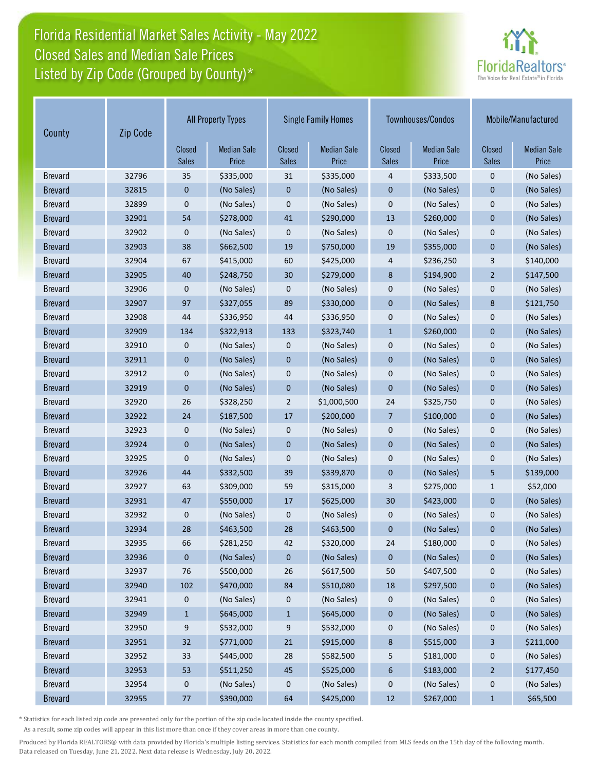## Florida Residential Market Sales Activity - May 2022 Listed by Zip Code (Grouped by County)\* Closed Sales and Median Sale Prices



| County         | Zip Code |                        | <b>All Property Types</b>   |                        | <b>Single Family Homes</b>  |                        | Townhouses/Condos           | Mobile/Manufactured     |                             |
|----------------|----------|------------------------|-----------------------------|------------------------|-----------------------------|------------------------|-----------------------------|-------------------------|-----------------------------|
|                |          | Closed<br><b>Sales</b> | <b>Median Sale</b><br>Price | Closed<br><b>Sales</b> | <b>Median Sale</b><br>Price | Closed<br><b>Sales</b> | <b>Median Sale</b><br>Price | Closed<br><b>Sales</b>  | <b>Median Sale</b><br>Price |
| <b>Brevard</b> | 32796    | 35                     | \$335,000                   | 31                     | \$335,000                   | 4                      | \$333,500                   | $\mathbf 0$             | (No Sales)                  |
| <b>Brevard</b> | 32815    | 0                      | (No Sales)                  | 0                      | (No Sales)                  | $\mathbf 0$            | (No Sales)                  | $\mathbf 0$             | (No Sales)                  |
| <b>Brevard</b> | 32899    | 0                      | (No Sales)                  | 0                      | (No Sales)                  | 0                      | (No Sales)                  | $\mathbf 0$             | (No Sales)                  |
| <b>Brevard</b> | 32901    | 54                     | \$278,000                   | 41                     | \$290,000                   | 13                     | \$260,000                   | $\mathbf 0$             | (No Sales)                  |
| <b>Brevard</b> | 32902    | 0                      | (No Sales)                  | 0                      | (No Sales)                  | 0                      | (No Sales)                  | $\mathbf 0$             | (No Sales)                  |
| <b>Brevard</b> | 32903    | 38                     | \$662,500                   | 19                     | \$750,000                   | 19                     | \$355,000                   | $\overline{0}$          | (No Sales)                  |
| <b>Brevard</b> | 32904    | 67                     | \$415,000                   | 60                     | \$425,000                   | 4                      | \$236,250                   | 3                       | \$140,000                   |
| <b>Brevard</b> | 32905    | 40                     | \$248,750                   | 30                     | \$279,000                   | 8                      | \$194,900                   | $\overline{2}$          | \$147,500                   |
| <b>Brevard</b> | 32906    | 0                      | (No Sales)                  | 0                      | (No Sales)                  | $\bf 0$                | (No Sales)                  | $\mathbf 0$             | (No Sales)                  |
| <b>Brevard</b> | 32907    | 97                     | \$327,055                   | 89                     | \$330,000                   | $\mathbf 0$            | (No Sales)                  | 8                       | \$121,750                   |
| <b>Brevard</b> | 32908    | 44                     | \$336,950                   | 44                     | \$336,950                   | $\mathbf 0$            | (No Sales)                  | $\mathbf 0$             | (No Sales)                  |
| <b>Brevard</b> | 32909    | 134                    | \$322,913                   | 133                    | \$323,740                   | $\mathbf{1}$           | \$260,000                   | $\mathbf 0$             | (No Sales)                  |
| <b>Brevard</b> | 32910    | 0                      | (No Sales)                  | 0                      | (No Sales)                  | $\bf 0$                | (No Sales)                  | $\mathbf 0$             | (No Sales)                  |
| <b>Brevard</b> | 32911    | 0                      | (No Sales)                  | $\mathbf 0$            | (No Sales)                  | $\mathbf 0$            | (No Sales)                  | $\mathbf 0$             | (No Sales)                  |
| <b>Brevard</b> | 32912    | 0                      | (No Sales)                  | 0                      | (No Sales)                  | $\bf 0$                | (No Sales)                  | $\mathbf 0$             | (No Sales)                  |
| <b>Brevard</b> | 32919    | 0                      | (No Sales)                  | 0                      | (No Sales)                  | $\mathbf 0$            | (No Sales)                  | $\mathbf 0$             | (No Sales)                  |
| <b>Brevard</b> | 32920    | 26                     | \$328,250                   | $\overline{2}$         | \$1,000,500                 | 24                     | \$325,750                   | $\mathbf 0$             | (No Sales)                  |
| <b>Brevard</b> | 32922    | 24                     | \$187,500                   | 17                     | \$200,000                   | $\overline{7}$         | \$100,000                   | $\mathbf 0$             | (No Sales)                  |
| <b>Brevard</b> | 32923    | 0                      | (No Sales)                  | 0                      | (No Sales)                  | $\mathbf 0$            | (No Sales)                  | 0                       | (No Sales)                  |
| <b>Brevard</b> | 32924    | 0                      | (No Sales)                  | 0                      | (No Sales)                  | $\mathbf 0$            | (No Sales)                  | $\mathbf 0$             | (No Sales)                  |
| <b>Brevard</b> | 32925    | 0                      | (No Sales)                  | 0                      | (No Sales)                  | $\mathbf 0$            | (No Sales)                  | $\mathbf 0$             | (No Sales)                  |
| <b>Brevard</b> | 32926    | 44                     | \$332,500                   | 39                     | \$339,870                   | $\mathbf 0$            | (No Sales)                  | 5                       | \$139,000                   |
| <b>Brevard</b> | 32927    | 63                     | \$309,000                   | 59                     | \$315,000                   | 3                      | \$275,000                   | $\mathbf{1}$            | \$52,000                    |
| <b>Brevard</b> | 32931    | 47                     | \$550,000                   | 17                     | \$625,000                   | 30                     | \$423,000                   | $\mathbf 0$             | (No Sales)                  |
| <b>Brevard</b> | 32932    | 0                      | (No Sales)                  | 0                      | (No Sales)                  | $\mathbf 0$            | (No Sales)                  | 0                       | (No Sales)                  |
| <b>Brevard</b> | 32934    | 28                     | \$463,500                   | 28                     | \$463,500                   | $\mathbf 0$            | (No Sales)                  | $\mathbf 0$             | (No Sales)                  |
| <b>Brevard</b> | 32935    | 66                     | \$281,250                   | 42                     | \$320,000                   | 24                     | \$180,000                   | 0                       | (No Sales)                  |
| <b>Brevard</b> | 32936    | 0                      | (No Sales)                  | 0                      | (No Sales)                  | $\pmb{0}$              | (No Sales)                  | 0                       | (No Sales)                  |
| <b>Brevard</b> | 32937    | 76                     | \$500,000                   | 26                     | \$617,500                   | 50                     | \$407,500                   | 0                       | (No Sales)                  |
| <b>Brevard</b> | 32940    | 102                    | \$470,000                   | 84                     | \$510,080                   | 18                     | \$297,500                   | 0                       | (No Sales)                  |
| <b>Brevard</b> | 32941    | 0                      | (No Sales)                  | 0                      | (No Sales)                  | 0                      | (No Sales)                  | 0                       | (No Sales)                  |
| <b>Brevard</b> | 32949    | $\mathbf{1}$           | \$645,000                   | $\mathbf{1}$           | \$645,000                   | $\pmb{0}$              | (No Sales)                  | 0                       | (No Sales)                  |
| <b>Brevard</b> | 32950    | 9                      | \$532,000                   | 9                      | \$532,000                   | 0                      | (No Sales)                  | 0                       | (No Sales)                  |
| <b>Brevard</b> | 32951    | 32                     | \$771,000                   | 21                     | \$915,000                   | $\bf8$                 | \$515,000                   | $\overline{\mathbf{3}}$ | \$211,000                   |
| <b>Brevard</b> | 32952    | 33                     | \$445,000                   | 28                     | \$582,500                   | 5                      | \$181,000                   | 0                       | (No Sales)                  |
| <b>Brevard</b> | 32953    | 53                     | \$511,250                   | 45                     | \$525,000                   | 6                      | \$183,000                   | $\overline{a}$          | \$177,450                   |
| <b>Brevard</b> | 32954    | 0                      | (No Sales)                  | 0                      | (No Sales)                  | $\pmb{0}$              | (No Sales)                  | 0                       | (No Sales)                  |
| <b>Brevard</b> | 32955    | 77                     | \$390,000                   | 64                     | \$425,000                   | $12\,$                 | \$267,000                   | $\mathbf{1}$            | \$65,500                    |

\* Statistics for each listed zip code are presented only for the portion of the zip code located inside the county specified.

As a result, some zip codes will appear in this list more than once if they cover areas in more than one county.